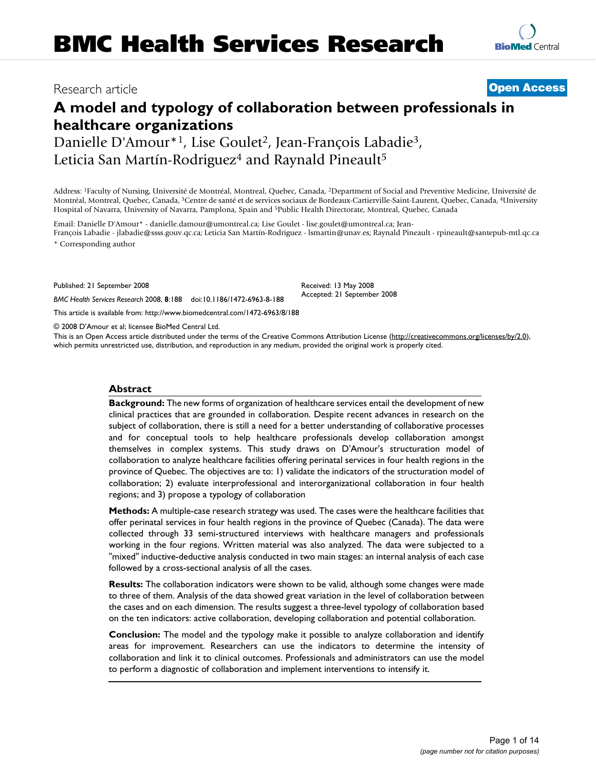# **A model and typology of collaboration between professionals in healthcare organizations**

Danielle D'Amour<sup>\*1</sup>, Lise Goulet<sup>2</sup>, Jean-François Labadie<sup>3</sup>, Leticia San Martín-Rodriguez<sup>4</sup> and Raynald Pineault<sup>5</sup>

Address: 1Faculty of Nursing, Université de Montréal, Montreal, Quebec, Canada, 2Department of Social and Preventive Medicine, Université de Montréal, Montreal, Quebec, Canada, 3Centre de santé et de services sociaux de Bordeaux-Cartierville-Saint-Laurent, Quebec, Canada, 4University Hospital of Navarra, University of Navarra, Pamplona, Spain and 5Public Health Directorate, Montreal, Quebec, Canada

Email: Danielle D'Amour\* - danielle.damour@umontreal.ca; Lise Goulet - lise.goulet@umontreal.ca; Jean-François Labadie - jlabadie@ssss.gouv.qc.ca; Leticia San Martín-Rodriguez - lsmartin@unav.es; Raynald Pineault - rpineault@santepub-mtl.qc.ca \* Corresponding author

Published: 21 September 2008

Received: 13 May 2008

*BMC Health Services Research* 2008, **8**:188 doi:10.1186/1472-6963-8-188 [This article is available from: http://www.biomedcentral.com/1472-6963/8/188](http://www.biomedcentral.com/1472-6963/8/188)

© 2008 D'Amour et al; licensee BioMed Central Ltd.

This is an Open Access article distributed under the terms of the Creative Commons Attribution License [\(http://creativecommons.org/licenses/by/2.0\)](http://creativecommons.org/licenses/by/2.0), which permits unrestricted use, distribution, and reproduction in any medium, provided the original work is properly cited.

#### **Abstract**

**Background:** The new forms of organization of healthcare services entail the development of new clinical practices that are grounded in collaboration. Despite recent advances in research on the subject of collaboration, there is still a need for a better understanding of collaborative processes and for conceptual tools to help healthcare professionals develop collaboration amongst themselves in complex systems. This study draws on D'Amour's structuration model of collaboration to analyze healthcare facilities offering perinatal services in four health regions in the province of Quebec. The objectives are to: 1) validate the indicators of the structuration model of collaboration; 2) evaluate interprofessional and interorganizational collaboration in four health regions; and 3) propose a typology of collaboration

**Methods:** A multiple-case research strategy was used. The cases were the healthcare facilities that offer perinatal services in four health regions in the province of Quebec (Canada). The data were collected through 33 semi-structured interviews with healthcare managers and professionals working in the four regions. Written material was also analyzed. The data were subjected to a "mixed" inductive-deductive analysis conducted in two main stages: an internal analysis of each case followed by a cross-sectional analysis of all the cases.

**Results:** The collaboration indicators were shown to be valid, although some changes were made to three of them. Analysis of the data showed great variation in the level of collaboration between the cases and on each dimension. The results suggest a three-level typology of collaboration based on the ten indicators: active collaboration, developing collaboration and potential collaboration.

**Conclusion:** The model and the typology make it possible to analyze collaboration and identify areas for improvement. Researchers can use the indicators to determine the intensity of collaboration and link it to clinical outcomes. Professionals and administrators can use the model to perform a diagnostic of collaboration and implement interventions to intensify it.

# Research article **[Open Access](http://www.biomedcentral.com/info/about/charter/)**

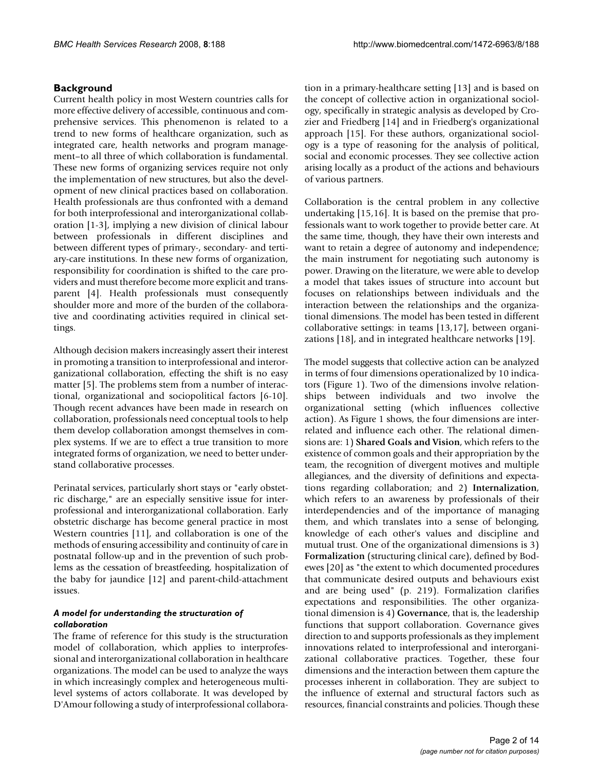# **Background**

Current health policy in most Western countries calls for more effective delivery of accessible, continuous and comprehensive services. This phenomenon is related to a trend to new forms of healthcare organization, such as integrated care, health networks and program management–to all three of which collaboration is fundamental. These new forms of organizing services require not only the implementation of new structures, but also the development of new clinical practices based on collaboration. Health professionals are thus confronted with a demand for both interprofessional and interorganizational collaboration [1-3], implying a new division of clinical labour between professionals in different disciplines and between different types of primary-, secondary- and tertiary-care institutions. In these new forms of organization, responsibility for coordination is shifted to the care providers and must therefore become more explicit and transparent [4]. Health professionals must consequently shoulder more and more of the burden of the collaborative and coordinating activities required in clinical settings.

Although decision makers increasingly assert their interest in promoting a transition to interprofessional and interorganizational collaboration, effecting the shift is no easy matter [5]. The problems stem from a number of interactional, organizational and sociopolitical factors [6-10]. Though recent advances have been made in research on collaboration, professionals need conceptual tools to help them develop collaboration amongst themselves in complex systems. If we are to effect a true transition to more integrated forms of organization, we need to better understand collaborative processes.

Perinatal services, particularly short stays or "early obstetric discharge," are an especially sensitive issue for interprofessional and interorganizational collaboration. Early obstetric discharge has become general practice in most Western countries [11], and collaboration is one of the methods of ensuring accessibility and continuity of care in postnatal follow-up and in the prevention of such problems as the cessation of breastfeeding, hospitalization of the baby for jaundice [12] and parent-child-attachment issues.

# *A model for understanding the structuration of collaboration*

The frame of reference for this study is the structuration model of collaboration, which applies to interprofessional and interorganizational collaboration in healthcare organizations. The model can be used to analyze the ways in which increasingly complex and heterogeneous multilevel systems of actors collaborate. It was developed by D'Amour following a study of interprofessional collaboration in a primary-healthcare setting [13] and is based on the concept of collective action in organizational sociology, specifically in strategic analysis as developed by Crozier and Friedberg [14] and in Friedberg's organizational approach [15]. For these authors, organizational sociology is a type of reasoning for the analysis of political, social and economic processes. They see collective action arising locally as a product of the actions and behaviours of various partners.

Collaboration is the central problem in any collective undertaking [15,16]. It is based on the premise that professionals want to work together to provide better care. At the same time, though, they have their own interests and want to retain a degree of autonomy and independence; the main instrument for negotiating such autonomy is power. Drawing on the literature, we were able to develop a model that takes issues of structure into account but focuses on relationships between individuals and the interaction between the relationships and the organizational dimensions. The model has been tested in different collaborative settings: in teams [13,17], between organizations [18], and in integrated healthcare networks [19].

The model suggests that collective action can be analyzed in terms of four dimensions operationalized by 10 indicators (Figure 1). Two of the dimensions involve relationships between individuals and two involve the organizational setting (which influences collective action). As Figure 1 shows, the four dimensions are interrelated and influence each other. The relational dimensions are: 1) **Shared Goals and Vision**, which refers to the existence of common goals and their appropriation by the team, the recognition of divergent motives and multiple allegiances, and the diversity of definitions and expectations regarding collaboration; and 2) **Internalization**, which refers to an awareness by professionals of their interdependencies and of the importance of managing them, and which translates into a sense of belonging, knowledge of each other's values and discipline and mutual trust. One of the organizational dimensions is 3) **Formalization** (structuring clinical care), defined by Bodewes [20] as "the extent to which documented procedures that communicate desired outputs and behaviours exist and are being used" (p. 219). Formalization clarifies expectations and responsibilities. The other organizational dimension is 4) **Governance**, that is, the leadership functions that support collaboration. Governance gives direction to and supports professionals as they implement innovations related to interprofessional and interorganizational collaborative practices. Together, these four dimensions and the interaction between them capture the processes inherent in collaboration. They are subject to the influence of external and structural factors such as resources, financial constraints and policies. Though these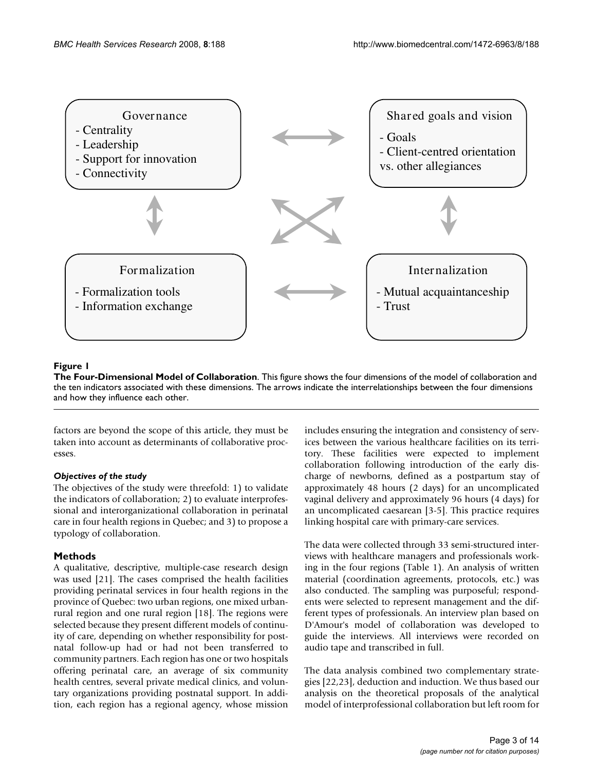

**The Four-Dimensional Model of Collaboration**. This figure shows the four dimensions of the model of collaboration and the ten indicators associated with these dimensions. The arrows indicate the interrelationships between the four dimensions and how they influence each other.

factors are beyond the scope of this article, they must be taken into account as determinants of collaborative processes.

# *Objectives of the study*

The objectives of the study were threefold: 1) to validate the indicators of collaboration; 2) to evaluate interprofessional and interorganizational collaboration in perinatal care in four health regions in Quebec; and 3) to propose a typology of collaboration.

# **Methods**

A qualitative, descriptive, multiple-case research design was used [21]. The cases comprised the health facilities providing perinatal services in four health regions in the province of Quebec: two urban regions, one mixed urbanrural region and one rural region [18]. The regions were selected because they present different models of continuity of care, depending on whether responsibility for postnatal follow-up had or had not been transferred to community partners. Each region has one or two hospitals offering perinatal care, an average of six community health centres, several private medical clinics, and voluntary organizations providing postnatal support. In addition, each region has a regional agency, whose mission includes ensuring the integration and consistency of services between the various healthcare facilities on its territory. These facilities were expected to implement collaboration following introduction of the early discharge of newborns, defined as a postpartum stay of approximately 48 hours (2 days) for an uncomplicated vaginal delivery and approximately 96 hours (4 days) for an uncomplicated caesarean [3-5]. This practice requires linking hospital care with primary-care services.

The data were collected through 33 semi-structured interviews with healthcare managers and professionals working in the four regions (Table 1). An analysis of written material (coordination agreements, protocols, etc.) was also conducted. The sampling was purposeful; respondents were selected to represent management and the different types of professionals. An interview plan based on D'Amour's model of collaboration was developed to guide the interviews. All interviews were recorded on audio tape and transcribed in full.

The data analysis combined two complementary strategies [22,23], deduction and induction. We thus based our analysis on the theoretical proposals of the analytical model of interprofessional collaboration but left room for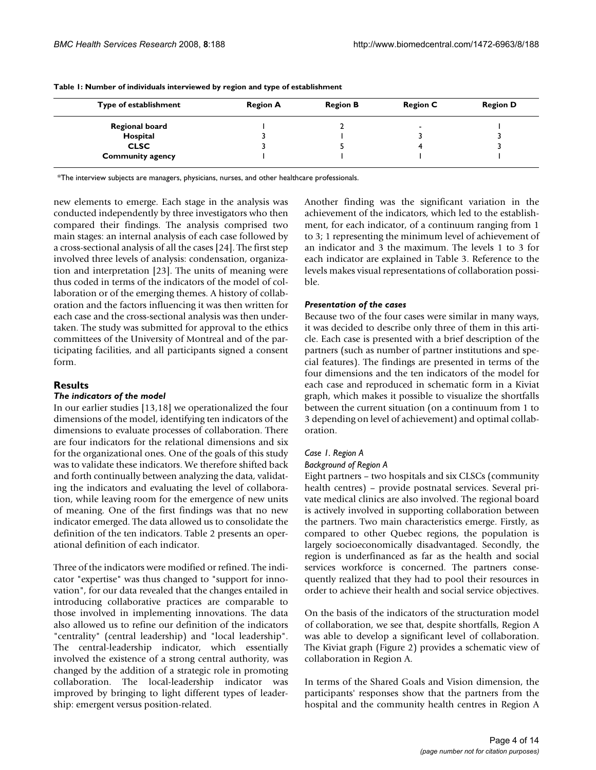| Type of establishment   | <b>Region A</b> | <b>Region B</b> | <b>Region C</b>          | <b>Region D</b> |
|-------------------------|-----------------|-----------------|--------------------------|-----------------|
| <b>Regional board</b>   |                 |                 | $\overline{\phantom{0}}$ |                 |
| Hospital                |                 |                 |                          |                 |
| <b>CLSC</b>             |                 |                 |                          |                 |
| <b>Community agency</b> |                 |                 |                          |                 |

**Table 1: Number of individuals interviewed by region and type of establishment**

\*The interview subjects are managers, physicians, nurses, and other healthcare professionals.

new elements to emerge. Each stage in the analysis was conducted independently by three investigators who then compared their findings. The analysis comprised two main stages: an internal analysis of each case followed by a cross-sectional analysis of all the cases [24]. The first step involved three levels of analysis: condensation, organization and interpretation [23]. The units of meaning were thus coded in terms of the indicators of the model of collaboration or of the emerging themes. A history of collaboration and the factors influencing it was then written for each case and the cross-sectional analysis was then undertaken. The study was submitted for approval to the ethics committees of the University of Montreal and of the participating facilities, and all participants signed a consent form.

# **Results**

# *The indicators of the model*

In our earlier studies [13,18] we operationalized the four dimensions of the model, identifying ten indicators of the dimensions to evaluate processes of collaboration. There are four indicators for the relational dimensions and six for the organizational ones. One of the goals of this study was to validate these indicators. We therefore shifted back and forth continually between analyzing the data, validating the indicators and evaluating the level of collaboration, while leaving room for the emergence of new units of meaning. One of the first findings was that no new indicator emerged. The data allowed us to consolidate the definition of the ten indicators. Table 2 presents an operational definition of each indicator.

Three of the indicators were modified or refined. The indicator "expertise" was thus changed to "support for innovation", for our data revealed that the changes entailed in introducing collaborative practices are comparable to those involved in implementing innovations. The data also allowed us to refine our definition of the indicators "centrality" (central leadership) and "local leadership". The central-leadership indicator, which essentially involved the existence of a strong central authority, was changed by the addition of a strategic role in promoting collaboration. The local-leadership indicator was improved by bringing to light different types of leadership: emergent versus position-related.

Another finding was the significant variation in the achievement of the indicators, which led to the establishment, for each indicator, of a continuum ranging from 1 to 3; 1 representing the minimum level of achievement of an indicator and 3 the maximum. The levels 1 to 3 for each indicator are explained in Table 3. Reference to the levels makes visual representations of collaboration possible.

# *Presentation of the cases*

Because two of the four cases were similar in many ways, it was decided to describe only three of them in this article. Each case is presented with a brief description of the partners (such as number of partner institutions and special features). The findings are presented in terms of the four dimensions and the ten indicators of the model for each case and reproduced in schematic form in a Kiviat graph, which makes it possible to visualize the shortfalls between the current situation (on a continuum from 1 to 3 depending on level of achievement) and optimal collaboration.

# *Case 1. Region A*

#### *Background of Region A*

Eight partners – two hospitals and six CLSCs (community health centres) – provide postnatal services. Several private medical clinics are also involved. The regional board is actively involved in supporting collaboration between the partners. Two main characteristics emerge. Firstly, as compared to other Quebec regions, the population is largely socioeconomically disadvantaged. Secondly, the region is underfinanced as far as the health and social services workforce is concerned. The partners consequently realized that they had to pool their resources in order to achieve their health and social service objectives.

On the basis of the indicators of the structuration model of collaboration, we see that, despite shortfalls, Region A was able to develop a significant level of collaboration. The Kiviat graph (Figure 2) provides a schematic view of collaboration in Region A.

In terms of the Shared Goals and Vision dimension, the participants' responses show that the partners from the hospital and the community health centres in Region A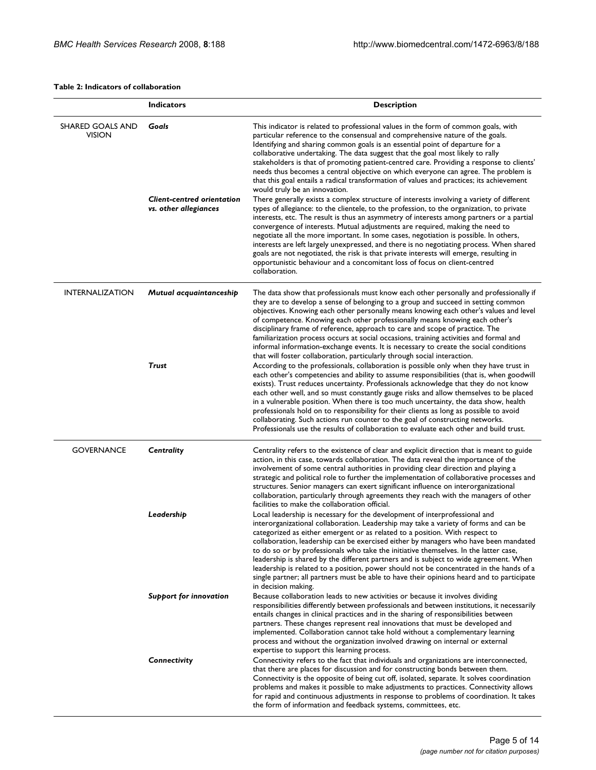#### **Table 2: Indicators of collaboration**

|                                   | <b>Indicators</b>                                          | <b>Description</b>                                                                                                                                                                                                                                                                                                                                                                                                                                                                                                                                                                                                                                                                                                                              |
|-----------------------------------|------------------------------------------------------------|-------------------------------------------------------------------------------------------------------------------------------------------------------------------------------------------------------------------------------------------------------------------------------------------------------------------------------------------------------------------------------------------------------------------------------------------------------------------------------------------------------------------------------------------------------------------------------------------------------------------------------------------------------------------------------------------------------------------------------------------------|
| SHARED GOALS AND<br><b>VISION</b> | Goals                                                      | This indicator is related to professional values in the form of common goals, with<br>particular reference to the consensual and comprehensive nature of the goals.<br>Identifying and sharing common goals is an essential point of departure for a<br>collaborative undertaking. The data suggest that the goal most likely to rally<br>stakeholders is that of promoting patient-centred care. Providing a response to clients'<br>needs thus becomes a central objective on which everyone can agree. The problem is<br>that this goal entails a radical transformation of values and practices; its achievement<br>would truly be an innovation.                                                                                           |
|                                   | <b>Client-centred orientation</b><br>vs. other allegiances | There generally exists a complex structure of interests involving a variety of different<br>types of allegiance: to the clientele, to the profession, to the organization, to private<br>interests, etc. The result is thus an asymmetry of interests among partners or a partial<br>convergence of interests. Mutual adjustments are required, making the need to<br>negotiate all the more important. In some cases, negotiation is possible. In others,<br>interests are left largely unexpressed, and there is no negotiating process. When shared<br>goals are not negotiated, the risk is that private interests will emerge, resulting in<br>opportunistic behaviour and a concomitant loss of focus on client-centred<br>collaboration. |
| <b>INTERNALIZATION</b>            | Mutual acquaintanceship                                    | The data show that professionals must know each other personally and professionally if<br>they are to develop a sense of belonging to a group and succeed in setting common<br>objectives. Knowing each other personally means knowing each other's values and level<br>of competence. Knowing each other professionally means knowing each other's<br>disciplinary frame of reference, approach to care and scope of practice. The<br>familiarization process occurs at social occasions, training activities and formal and<br>informal information-exchange events. It is necessary to create the social conditions<br>that will foster collaboration, particularly through social interaction.                                              |
|                                   | <b>Trust</b>                                               | According to the professionals, collaboration is possible only when they have trust in<br>each other's competencies and ability to assume responsibilities (that is, when goodwill<br>exists). Trust reduces uncertainty. Professionals acknowledge that they do not know<br>each other well, and so must constantly gauge risks and allow themselves to be placed<br>in a vulnerable position. When there is too much uncertainty, the data show, health<br>professionals hold on to responsibility for their clients as long as possible to avoid<br>collaborating. Such actions run counter to the goal of constructing networks.<br>Professionals use the results of collaboration to evaluate each other and build trust.                  |
| <b>GOVERNANCE</b>                 | Centrality                                                 | Centrality refers to the existence of clear and explicit direction that is meant to guide<br>action, in this case, towards collaboration. The data reveal the importance of the<br>involvement of some central authorities in providing clear direction and playing a<br>strategic and political role to further the implementation of collaborative processes and<br>structures. Senior managers can exert significant influence on interorganizational<br>collaboration, particularly through agreements they reach with the managers of other<br>facilities to make the collaboration official.                                                                                                                                              |
|                                   | Leadership                                                 | Local leadership is necessary for the development of interprofessional and<br>interorganizational collaboration. Leadership may take a variety of forms and can be<br>categorized as either emergent or as related to a position. With respect to<br>collaboration, leadership can be exercised either by managers who have been mandated<br>to do so or by professionals who take the initiative themselves. In the latter case,<br>leadership is shared by the different partners and is subject to wide agreement. When<br>leadership is related to a position, power should not be concentrated in the hands of a<br>single partner; all partners must be able to have their opinions heard and to participate<br>in decision making.       |
|                                   | <b>Support for innovation</b>                              | Because collaboration leads to new activities or because it involves dividing<br>responsibilities differently between professionals and between institutions, it necessarily<br>entails changes in clinical practices and in the sharing of responsibilities between<br>partners. These changes represent real innovations that must be developed and<br>implemented. Collaboration cannot take hold without a complementary learning<br>process and without the organization involved drawing on internal or external<br>expertise to support this learning process.                                                                                                                                                                           |
|                                   | Connectivity                                               | Connectivity refers to the fact that individuals and organizations are interconnected,<br>that there are places for discussion and for constructing bonds between them.<br>Connectivity is the opposite of being cut off, isolated, separate. It solves coordination<br>problems and makes it possible to make adjustments to practices. Connectivity allows<br>for rapid and continuous adjustments in response to problems of coordination. It takes<br>the form of information and feedback systems, committees, etc.                                                                                                                                                                                                                        |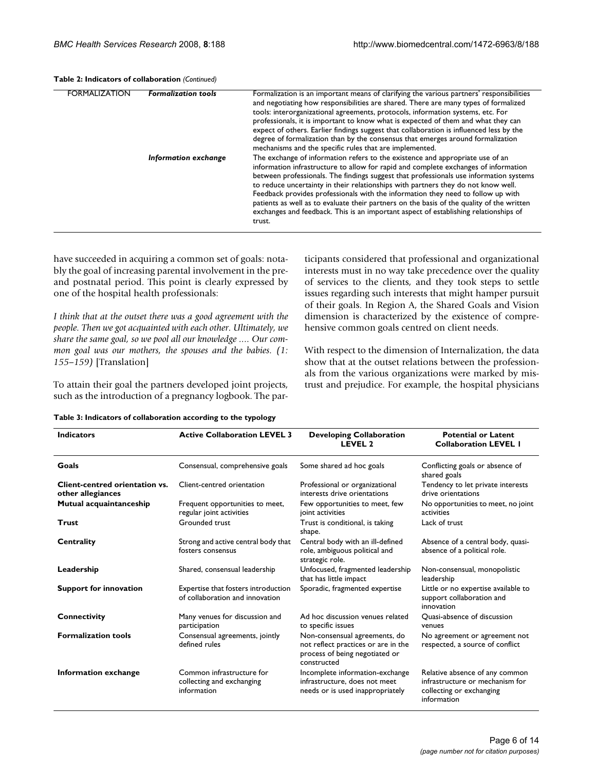#### **Table 2: Indicators of collaboration** *(Continued)*

| <b>FORMALIZATION</b> | <b>Formalization tools</b> | Formalization is an important means of clarifying the various partners' responsibilities<br>and negotiating how responsibilities are shared. There are many types of formalized<br>tools: interorganizational agreements, protocols, information systems, etc. For<br>professionals, it is important to know what is expected of them and what they can<br>expect of others. Earlier findings suggest that collaboration is influenced less by the<br>degree of formalization than by the consensus that emerges around formalization<br>mechanisms and the specific rules that are implemented.                                       |
|----------------------|----------------------------|----------------------------------------------------------------------------------------------------------------------------------------------------------------------------------------------------------------------------------------------------------------------------------------------------------------------------------------------------------------------------------------------------------------------------------------------------------------------------------------------------------------------------------------------------------------------------------------------------------------------------------------|
|                      | Information exchange       | The exchange of information refers to the existence and appropriate use of an<br>information infrastructure to allow for rapid and complete exchanges of information<br>between professionals. The findings suggest that professionals use information systems<br>to reduce uncertainty in their relationships with partners they do not know well.<br>Feedback provides professionals with the information they need to follow up with<br>patients as well as to evaluate their partners on the basis of the quality of the written<br>exchanges and feedback. This is an important aspect of establishing relationships of<br>trust. |

have succeeded in acquiring a common set of goals: notably the goal of increasing parental involvement in the preand postnatal period. This point is clearly expressed by one of the hospital health professionals:

*I think that at the outset there was a good agreement with the people. Then we got acquainted with each other. Ultimately, we share the same goal, so we pool all our knowledge .... Our common goal was our mothers, the spouses and the babies. (1: 155–159)* [Translation]

To attain their goal the partners developed joint projects, such as the introduction of a pregnancy logbook. The participants considered that professional and organizational interests must in no way take precedence over the quality of services to the clients, and they took steps to settle issues regarding such interests that might hamper pursuit of their goals. In Region A, the Shared Goals and Vision dimension is characterized by the existence of comprehensive common goals centred on client needs.

With respect to the dimension of Internalization, the data show that at the outset relations between the professionals from the various organizations were marked by mistrust and prejudice. For example, the hospital physicians

| Table 3: Indicators of collaboration according to the typology |  |  |  |
|----------------------------------------------------------------|--|--|--|
|----------------------------------------------------------------|--|--|--|

| <b>Indicators</b>                                          | <b>Active Collaboration LEVEL 3</b>                                    | <b>Developing Collaboration</b><br><b>LEVEL 2</b>                                                                     | <b>Potential or Latent</b><br><b>Collaboration LEVEL I</b>                                                   |
|------------------------------------------------------------|------------------------------------------------------------------------|-----------------------------------------------------------------------------------------------------------------------|--------------------------------------------------------------------------------------------------------------|
| Goals                                                      | Consensual, comprehensive goals                                        | Some shared ad hoc goals                                                                                              | Conflicting goals or absence of<br>shared goals                                                              |
| <b>Client-centred orientation vs.</b><br>other allegiances | Client-centred orientation                                             | Professional or organizational<br>interests drive orientations                                                        | Tendency to let private interests<br>drive orientations                                                      |
| <b>Mutual acquaintanceship</b>                             | Frequent opportunities to meet,<br>regular joint activities            | Few opportunities to meet, few<br>joint activities                                                                    | No opportunities to meet, no joint<br>activities                                                             |
| <b>Trust</b>                                               | <b>Grounded trust</b>                                                  | Trust is conditional, is taking<br>shape.                                                                             | Lack of trust                                                                                                |
| <b>Centrality</b>                                          | Strong and active central body that<br>fosters consensus               | Central body with an ill-defined<br>role, ambiguous political and<br>strategic role.                                  | Absence of a central body, quasi-<br>absence of a political role.                                            |
| Leadership                                                 | Shared, consensual leadership                                          | Unfocused, fragmented leadership<br>that has little impact                                                            | Non-consensual, monopolistic<br>leadership                                                                   |
| <b>Support for innovation</b>                              | Expertise that fosters introduction<br>of collaboration and innovation | Sporadic, fragmented expertise                                                                                        | Little or no expertise available to<br>support collaboration and<br>innovation                               |
| <b>Connectivity</b>                                        | Many venues for discussion and<br>participation                        | Ad hoc discussion venues related<br>to specific issues                                                                | Quasi-absence of discussion<br>venues                                                                        |
| <b>Formalization tools</b>                                 | Consensual agreements, jointly<br>defined rules                        | Non-consensual agreements, do<br>not reflect practices or are in the<br>process of being negotiated or<br>constructed | No agreement or agreement not<br>respected, a source of conflict                                             |
| Information exchange                                       | Common infrastructure for<br>collecting and exchanging<br>information  | Incomplete information-exchange<br>infrastructure, does not meet<br>needs or is used inappropriately                  | Relative absence of any common<br>infrastructure or mechanism for<br>collecting or exchanging<br>information |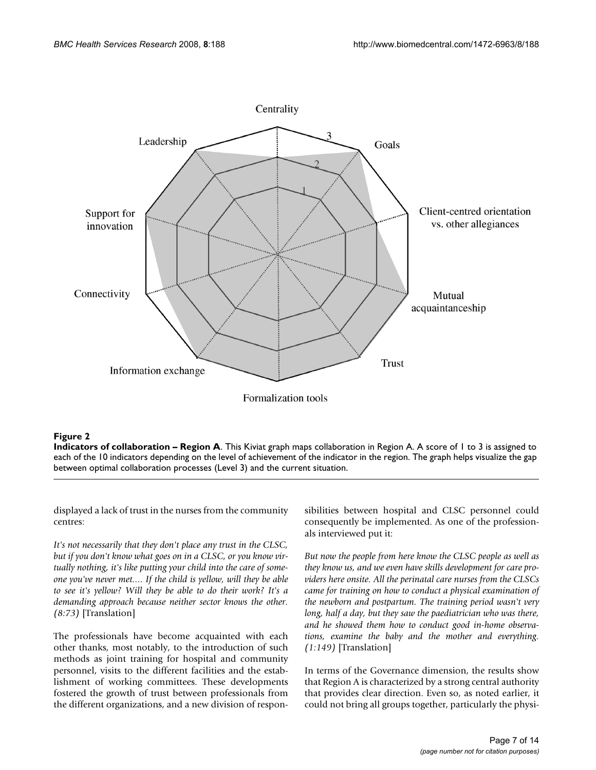

**Indicators of collaboration – Region A**. This Kiviat graph maps collaboration in Region A. A score of 1 to 3 is assigned to each of the 10 indicators depending on the level of achievement of the indicator in the region. The graph helps visualize the gap between optimal collaboration processes (Level 3) and the current situation.

displayed a lack of trust in the nurses from the community centres:

*It's not necessarily that they don't place any trust in the CLSC, but if you don't know what goes on in a CLSC, or you know virtually nothing, it's like putting your child into the care of someone you've never met.... If the child is yellow, will they be able to see it's yellow? Will they be able to do their work? It's a demanding approach because neither sector knows the other. (8:73)* [Translation]

The professionals have become acquainted with each other thanks, most notably, to the introduction of such methods as joint training for hospital and community personnel, visits to the different facilities and the establishment of working committees. These developments fostered the growth of trust between professionals from the different organizations, and a new division of responsibilities between hospital and CLSC personnel could consequently be implemented. As one of the professionals interviewed put it:

*But now the people from here know the CLSC people as well as they know us, and we even have skills development for care providers here onsite. All the perinatal care nurses from the CLSCs came for training on how to conduct a physical examination of the newborn and postpartum. The training period wasn't very long, half a day, but they saw the paediatrician who was there, and he showed them how to conduct good in-home observations, examine the baby and the mother and everything. (1:149)* [Translation]

In terms of the Governance dimension, the results show that Region A is characterized by a strong central authority that provides clear direction. Even so, as noted earlier, it could not bring all groups together, particularly the physi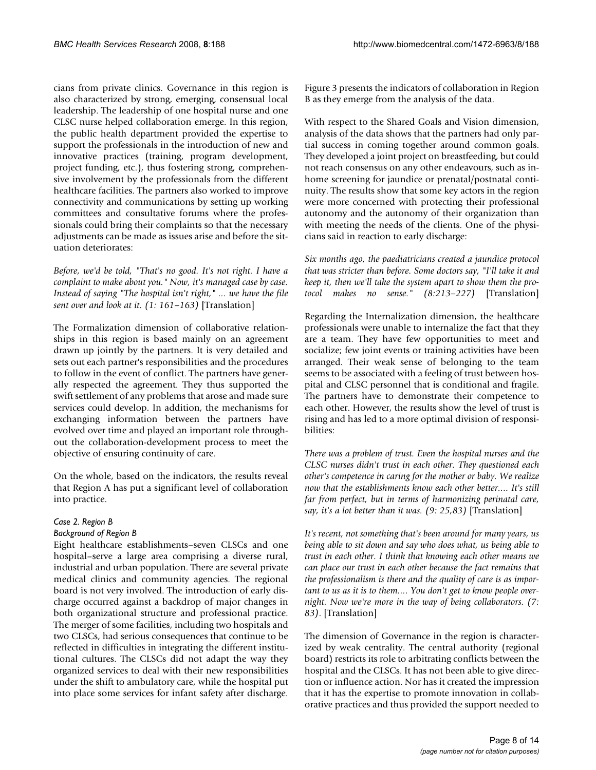cians from private clinics. Governance in this region is also characterized by strong, emerging, consensual local leadership. The leadership of one hospital nurse and one CLSC nurse helped collaboration emerge. In this region, the public health department provided the expertise to support the professionals in the introduction of new and innovative practices (training, program development, project funding, etc.), thus fostering strong, comprehensive involvement by the professionals from the different healthcare facilities. The partners also worked to improve connectivity and communications by setting up working committees and consultative forums where the professionals could bring their complaints so that the necessary adjustments can be made as issues arise and before the situation deteriorates:

*Before, we'd be told, "That's no good. It's not right. I have a complaint to make about you." Now, it's managed case by case. Instead of saying "The hospital isn't right," ... we have the file sent over and look at it. (1: 161–163)* [Translation]

The Formalization dimension of collaborative relationships in this region is based mainly on an agreement drawn up jointly by the partners. It is very detailed and sets out each partner's responsibilities and the procedures to follow in the event of conflict. The partners have generally respected the agreement. They thus supported the swift settlement of any problems that arose and made sure services could develop. In addition, the mechanisms for exchanging information between the partners have evolved over time and played an important role throughout the collaboration-development process to meet the objective of ensuring continuity of care.

On the whole, based on the indicators, the results reveal that Region A has put a significant level of collaboration into practice.

#### *Case 2. Region B*

#### *Background of Region B*

Eight healthcare establishments–seven CLSCs and one hospital–serve a large area comprising a diverse rural, industrial and urban population. There are several private medical clinics and community agencies. The regional board is not very involved. The introduction of early discharge occurred against a backdrop of major changes in both organizational structure and professional practice. The merger of some facilities, including two hospitals and two CLSCs, had serious consequences that continue to be reflected in difficulties in integrating the different institutional cultures. The CLSCs did not adapt the way they organized services to deal with their new responsibilities under the shift to ambulatory care, while the hospital put into place some services for infant safety after discharge.

Figure 3 presents the indicators of collaboration in Region B as they emerge from the analysis of the data.

With respect to the Shared Goals and Vision dimension, analysis of the data shows that the partners had only partial success in coming together around common goals. They developed a joint project on breastfeeding, but could not reach consensus on any other endeavours, such as inhome screening for jaundice or prenatal/postnatal continuity. The results show that some key actors in the region were more concerned with protecting their professional autonomy and the autonomy of their organization than with meeting the needs of the clients. One of the physicians said in reaction to early discharge:

*Six months ago, the paediatricians created a jaundice protocol that was stricter than before. Some doctors say, "I'll take it and keep it, then we'll take the system apart to show them the protocol makes no sense." (8:213–227)* [Translation]

Regarding the Internalization dimension, the healthcare professionals were unable to internalize the fact that they are a team. They have few opportunities to meet and socialize; few joint events or training activities have been arranged. Their weak sense of belonging to the team seems to be associated with a feeling of trust between hospital and CLSC personnel that is conditional and fragile. The partners have to demonstrate their competence to each other. However, the results show the level of trust is rising and has led to a more optimal division of responsibilities:

*There was a problem of trust. Even the hospital nurses and the CLSC nurses didn't trust in each other. They questioned each other's competence in caring for the mother or baby. We realize now that the establishments know each other better.... It's still far from perfect, but in terms of harmonizing perinatal care, say, it's a lot better than it was. (9: 25,83)* [Translation]

*It's recent, not something that's been around for many years, us being able to sit down and say who does what, us being able to trust in each other. I think that knowing each other means we can place our trust in each other because the fact remains that the professionalism is there and the quality of care is as important to us as it is to them.... You don't get to know people overnight. Now we're more in the way of being collaborators. (7: 83)*. [Translation]

The dimension of Governance in the region is characterized by weak centrality. The central authority (regional board) restricts its role to arbitrating conflicts between the hospital and the CLSCs. It has not been able to give direction or influence action. Nor has it created the impression that it has the expertise to promote innovation in collaborative practices and thus provided the support needed to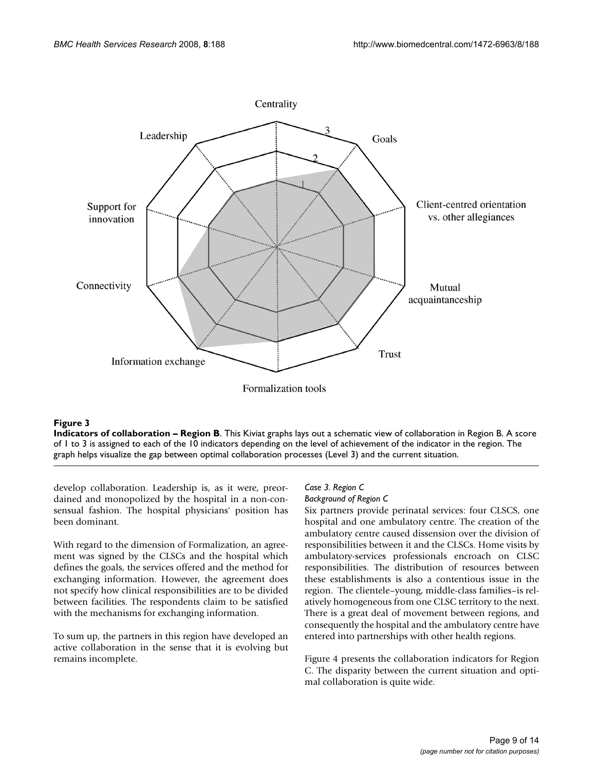

**Indicators of collaboration – Region B**. This Kiviat graphs lays out a schematic view of collaboration in Region B. A score of 1 to 3 is assigned to each of the 10 indicators depending on the level of achievement of the indicator in the region. The graph helps visualize the gap between optimal collaboration processes (Level 3) and the current situation.

develop collaboration. Leadership is, as it were, preordained and monopolized by the hospital in a non-consensual fashion. The hospital physicians' position has been dominant.

With regard to the dimension of Formalization, an agreement was signed by the CLSCs and the hospital which defines the goals, the services offered and the method for exchanging information. However, the agreement does not specify how clinical responsibilities are to be divided between facilities. The respondents claim to be satisfied with the mechanisms for exchanging information.

To sum up, the partners in this region have developed an active collaboration in the sense that it is evolving but remains incomplete.

# *Case 3. Region C*

# *Background of Region C*

Six partners provide perinatal services: four CLSCS, one hospital and one ambulatory centre. The creation of the ambulatory centre caused dissension over the division of responsibilities between it and the CLSCs. Home visits by ambulatory-services professionals encroach on CLSC responsibilities. The distribution of resources between these establishments is also a contentious issue in the region. The clientele–young, middle-class families–is relatively homogeneous from one CLSC territory to the next. There is a great deal of movement between regions, and consequently the hospital and the ambulatory centre have entered into partnerships with other health regions.

Figure 4 presents the collaboration indicators for Region C. The disparity between the current situation and optimal collaboration is quite wide.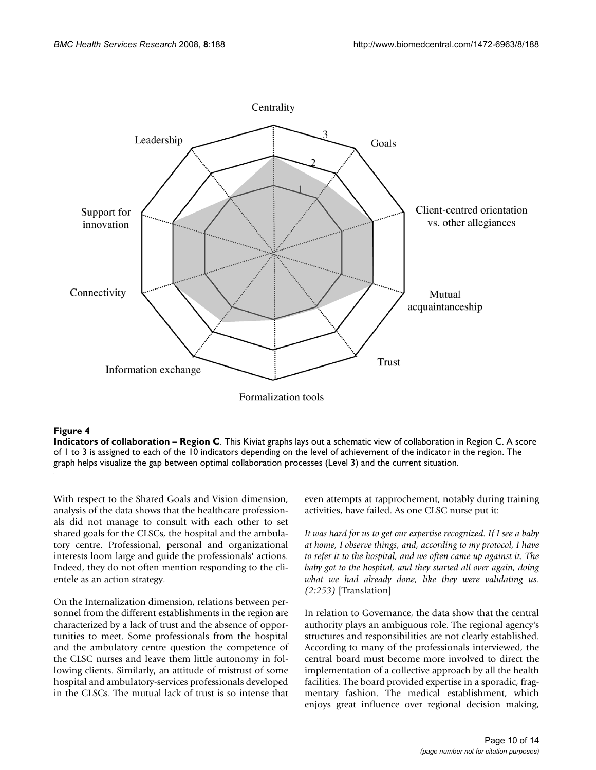

**Indicators of collaboration – Region C**. This Kiviat graphs lays out a schematic view of collaboration in Region C. A score of 1 to 3 is assigned to each of the 10 indicators depending on the level of achievement of the indicator in the region. The graph helps visualize the gap between optimal collaboration processes (Level 3) and the current situation.

With respect to the Shared Goals and Vision dimension, analysis of the data shows that the healthcare professionals did not manage to consult with each other to set shared goals for the CLSCs, the hospital and the ambulatory centre. Professional, personal and organizational interests loom large and guide the professionals' actions. Indeed, they do not often mention responding to the clientele as an action strategy.

On the Internalization dimension, relations between personnel from the different establishments in the region are characterized by a lack of trust and the absence of opportunities to meet. Some professionals from the hospital and the ambulatory centre question the competence of the CLSC nurses and leave them little autonomy in following clients. Similarly, an attitude of mistrust of some hospital and ambulatory-services professionals developed in the CLSCs. The mutual lack of trust is so intense that even attempts at rapprochement, notably during training activities, have failed. As one CLSC nurse put it:

*It was hard for us to get our expertise recognized. If I see a baby at home, I observe things, and, according to my protocol, I have to refer it to the hospital, and we often came up against it. The baby got to the hospital, and they started all over again, doing what we had already done, like they were validating us. (2:253)* [Translation]

In relation to Governance, the data show that the central authority plays an ambiguous role. The regional agency's structures and responsibilities are not clearly established. According to many of the professionals interviewed, the central board must become more involved to direct the implementation of a collective approach by all the health facilities. The board provided expertise in a sporadic, fragmentary fashion. The medical establishment, which enjoys great influence over regional decision making,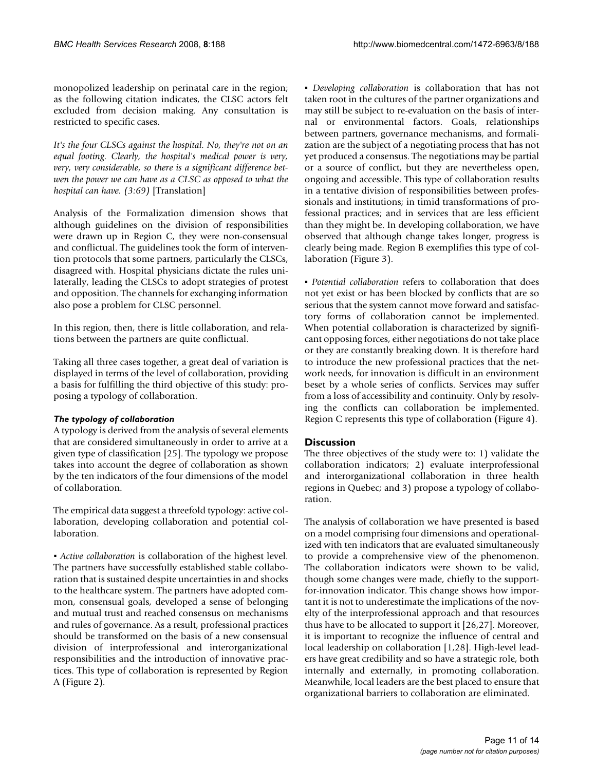monopolized leadership on perinatal care in the region; as the following citation indicates, the CLSC actors felt excluded from decision making. Any consultation is restricted to specific cases.

*It's the four CLSCs against the hospital. No, they're not on an equal footing. Clearly, the hospital's medical power is very, very, very considerable, so there is a significant difference betwen the power we can have as a CLSC as opposed to what the hospital can have. (3:69)* [Translation]

Analysis of the Formalization dimension shows that although guidelines on the division of responsibilities were drawn up in Region C, they were non-consensual and conflictual. The guidelines took the form of intervention protocols that some partners, particularly the CLSCs, disagreed with. Hospital physicians dictate the rules unilaterally, leading the CLSCs to adopt strategies of protest and opposition. The channels for exchanging information also pose a problem for CLSC personnel.

In this region, then, there is little collaboration, and relations between the partners are quite conflictual.

Taking all three cases together, a great deal of variation is displayed in terms of the level of collaboration, providing a basis for fulfilling the third objective of this study: proposing a typology of collaboration.

# *The typology of collaboration*

A typology is derived from the analysis of several elements that are considered simultaneously in order to arrive at a given type of classification [25]. The typology we propose takes into account the degree of collaboration as shown by the ten indicators of the four dimensions of the model of collaboration.

The empirical data suggest a threefold typology: active collaboration, developing collaboration and potential collaboration.

▪ *Active collaboration* is collaboration of the highest level. The partners have successfully established stable collaboration that is sustained despite uncertainties in and shocks to the healthcare system. The partners have adopted common, consensual goals, developed a sense of belonging and mutual trust and reached consensus on mechanisms and rules of governance. As a result, professional practices should be transformed on the basis of a new consensual division of interprofessional and interorganizational responsibilities and the introduction of innovative practices. This type of collaboration is represented by Region A (Figure 2).

▪ *Developing collaboration* is collaboration that has not taken root in the cultures of the partner organizations and may still be subject to re-evaluation on the basis of internal or environmental factors. Goals, relationships between partners, governance mechanisms, and formalization are the subject of a negotiating process that has not yet produced a consensus. The negotiations may be partial or a source of conflict, but they are nevertheless open, ongoing and accessible. This type of collaboration results in a tentative division of responsibilities between professionals and institutions; in timid transformations of professional practices; and in services that are less efficient than they might be. In developing collaboration, we have observed that although change takes longer, progress is clearly being made. Region B exemplifies this type of collaboration (Figure 3).

▪ *Potential collaboration* refers to collaboration that does not yet exist or has been blocked by conflicts that are so serious that the system cannot move forward and satisfactory forms of collaboration cannot be implemented. When potential collaboration is characterized by significant opposing forces, either negotiations do not take place or they are constantly breaking down. It is therefore hard to introduce the new professional practices that the network needs, for innovation is difficult in an environment beset by a whole series of conflicts. Services may suffer from a loss of accessibility and continuity. Only by resolving the conflicts can collaboration be implemented. Region C represents this type of collaboration (Figure 4).

# **Discussion**

The three objectives of the study were to: 1) validate the collaboration indicators; 2) evaluate interprofessional and interorganizational collaboration in three health regions in Quebec; and 3) propose a typology of collaboration.

The analysis of collaboration we have presented is based on a model comprising four dimensions and operationalized with ten indicators that are evaluated simultaneously to provide a comprehensive view of the phenomenon. The collaboration indicators were shown to be valid, though some changes were made, chiefly to the supportfor-innovation indicator. This change shows how important it is not to underestimate the implications of the novelty of the interprofessional approach and that resources thus have to be allocated to support it [26,27]. Moreover, it is important to recognize the influence of central and local leadership on collaboration [1,28]. High-level leaders have great credibility and so have a strategic role, both internally and externally, in promoting collaboration. Meanwhile, local leaders are the best placed to ensure that organizational barriers to collaboration are eliminated.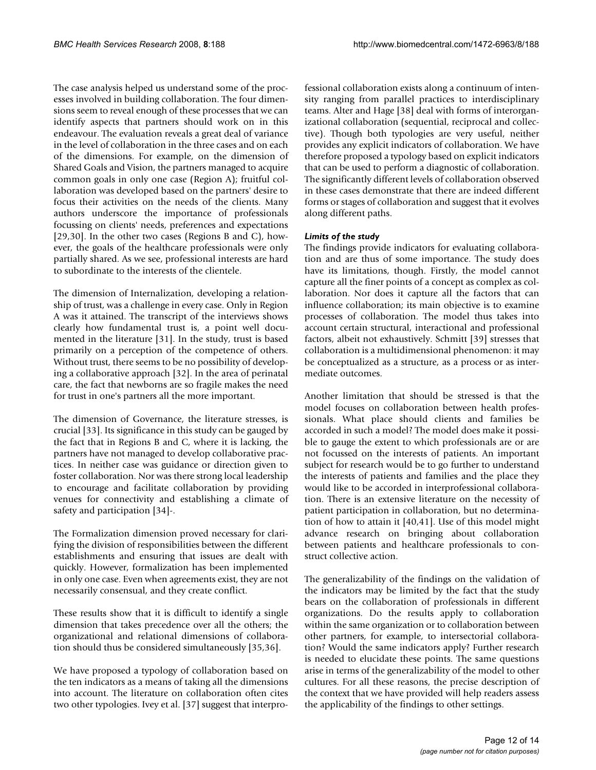The case analysis helped us understand some of the processes involved in building collaboration. The four dimensions seem to reveal enough of these processes that we can identify aspects that partners should work on in this endeavour. The evaluation reveals a great deal of variance in the level of collaboration in the three cases and on each of the dimensions. For example, on the dimension of Shared Goals and Vision, the partners managed to acquire common goals in only one case (Region A); fruitful collaboration was developed based on the partners' desire to focus their activities on the needs of the clients. Many authors underscore the importance of professionals focussing on clients' needs, preferences and expectations [29,30]. In the other two cases (Regions B and C), however, the goals of the healthcare professionals were only partially shared. As we see, professional interests are hard to subordinate to the interests of the clientele.

The dimension of Internalization, developing a relationship of trust, was a challenge in every case. Only in Region A was it attained. The transcript of the interviews shows clearly how fundamental trust is, a point well documented in the literature [31]. In the study, trust is based primarily on a perception of the competence of others. Without trust, there seems to be no possibility of developing a collaborative approach [32]. In the area of perinatal care, the fact that newborns are so fragile makes the need for trust in one's partners all the more important.

The dimension of Governance, the literature stresses, is crucial [33]. Its significance in this study can be gauged by the fact that in Regions B and C, where it is lacking, the partners have not managed to develop collaborative practices. In neither case was guidance or direction given to foster collaboration. Nor was there strong local leadership to encourage and facilitate collaboration by providing venues for connectivity and establishing a climate of safety and participation [34]-.

The Formalization dimension proved necessary for clarifying the division of responsibilities between the different establishments and ensuring that issues are dealt with quickly. However, formalization has been implemented in only one case. Even when agreements exist, they are not necessarily consensual, and they create conflict.

These results show that it is difficult to identify a single dimension that takes precedence over all the others; the organizational and relational dimensions of collaboration should thus be considered simultaneously [35,36].

We have proposed a typology of collaboration based on the ten indicators as a means of taking all the dimensions into account. The literature on collaboration often cites two other typologies. Ivey et al. [37] suggest that interprofessional collaboration exists along a continuum of intensity ranging from parallel practices to interdisciplinary teams. Alter and Hage [38] deal with forms of interorganizational collaboration (sequential, reciprocal and collective). Though both typologies are very useful, neither provides any explicit indicators of collaboration. We have therefore proposed a typology based on explicit indicators that can be used to perform a diagnostic of collaboration. The significantly different levels of collaboration observed in these cases demonstrate that there are indeed different forms or stages of collaboration and suggest that it evolves along different paths.

# *Limits of the study*

The findings provide indicators for evaluating collaboration and are thus of some importance. The study does have its limitations, though. Firstly, the model cannot capture all the finer points of a concept as complex as collaboration. Nor does it capture all the factors that can influence collaboration; its main objective is to examine processes of collaboration. The model thus takes into account certain structural, interactional and professional factors, albeit not exhaustively. Schmitt [39] stresses that collaboration is a multidimensional phenomenon: it may be conceptualized as a structure, as a process or as intermediate outcomes.

Another limitation that should be stressed is that the model focuses on collaboration between health professionals. What place should clients and families be accorded in such a model? The model does make it possible to gauge the extent to which professionals are or are not focussed on the interests of patients. An important subject for research would be to go further to understand the interests of patients and families and the place they would like to be accorded in interprofessional collaboration. There is an extensive literature on the necessity of patient participation in collaboration, but no determination of how to attain it [40,41]. Use of this model might advance research on bringing about collaboration between patients and healthcare professionals to construct collective action.

The generalizability of the findings on the validation of the indicators may be limited by the fact that the study bears on the collaboration of professionals in different organizations. Do the results apply to collaboration within the same organization or to collaboration between other partners, for example, to intersectorial collaboration? Would the same indicators apply? Further research is needed to elucidate these points. The same questions arise in terms of the generalizability of the model to other cultures. For all these reasons, the precise description of the context that we have provided will help readers assess the applicability of the findings to other settings.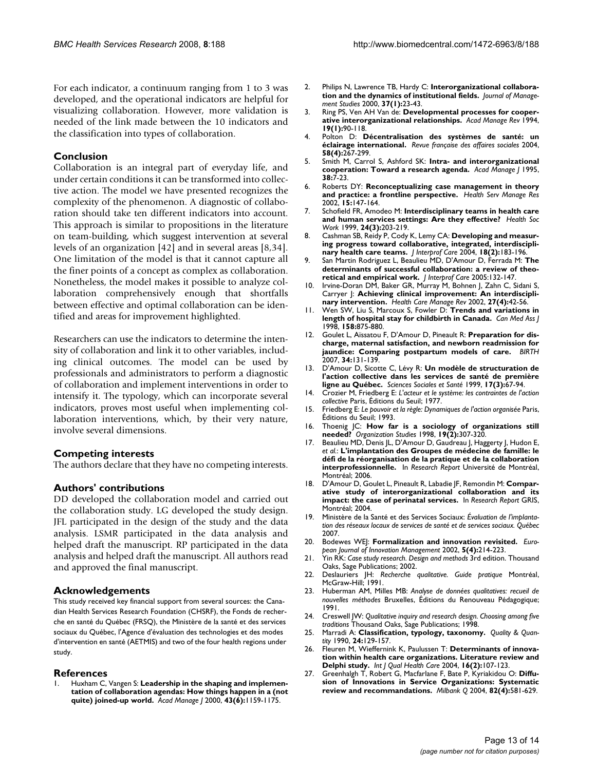For each indicator, a continuum ranging from 1 to 3 was developed, and the operational indicators are helpful for visualizing collaboration. However, more validation is needed of the link made between the 10 indicators and the classification into types of collaboration.

### **Conclusion**

Collaboration is an integral part of everyday life, and under certain conditions it can be transformed into collective action. The model we have presented recognizes the complexity of the phenomenon. A diagnostic of collaboration should take ten different indicators into account. This approach is similar to propositions in the literature on team-building, which suggest intervention at several levels of an organization [42] and in several areas [8,34]. One limitation of the model is that it cannot capture all the finer points of a concept as complex as collaboration. Nonetheless, the model makes it possible to analyze collaboration comprehensively enough that shortfalls between effective and optimal collaboration can be identified and areas for improvement highlighted.

Researchers can use the indicators to determine the intensity of collaboration and link it to other variables, including clinical outcomes. The model can be used by professionals and administrators to perform a diagnostic of collaboration and implement interventions in order to intensify it. The typology, which can incorporate several indicators, proves most useful when implementing collaboration interventions, which, by their very nature, involve several dimensions.

#### **Competing interests**

The authors declare that they have no competing interests.

# **Authors' contributions**

DD developed the collaboration model and carried out the collaboration study. LG developed the study design. JFL participated in the design of the study and the data analysis. LSMR participated in the data analysis and helped draft the manuscript. RP participated in the data analysis and helped draft the manuscript. All authors read and approved the final manuscript.

#### **Acknowledgements**

This study received key financial support from several sources: the Canadian Health Services Research Foundation (CHSRF), the Fonds de recherche en santé du Québec (FRSQ), the Ministère de la santé et des services sociaux du Québec, l'Agence d'évaluation des technologies et des modes d'intervention en santé (AETMIS) and two of the four health regions under study.

#### **References**

Huxham C, Vangen S: Leadership in the shaping and implemen**tation of collaboration agendas: How things happen in a (not quite) joined-up world.** *Acad Manage J* 2000, **43(6):**1159-1175.

- 2. Philips N, Lawrence TB, Hardy C: **Interorganizational collaboration and the dynamics of institutional fields.** *Journal of Management Studies* 2000, **37(1):**23-43.
- 3. Ring PS, Ven AH Van de: **Developmental processes for cooperative interorganizational relationships.** *Acad Manage Rev* 1994, **19(1):**90-118.
- 4. Polton D: **Décentralisation des systèmes de santé: un éclairage international.** *Revue française des affaires sociales* 2004, **58(4):**267-299.
- 5. Smith M, Carrol S, Ashford SK: **Intra- and interorganizational cooperation: Toward a research agenda.** *Acad Manage J* 1995, **38:**7-23.
- 6. Roberts DY: **[Reconceptualizing case management in theory](http://www.ncbi.nlm.nih.gov/entrez/query.fcgi?cmd=Retrieve&db=PubMed&dopt=Abstract&list_uids=12184835) [and practice: a frontline perspective.](http://www.ncbi.nlm.nih.gov/entrez/query.fcgi?cmd=Retrieve&db=PubMed&dopt=Abstract&list_uids=12184835)** *Health Serv Manage Res* 2002, **15:**147-164.
- 7. Schofield FR, Amodeo M: **Interdisciplinary teams in health care and human services settings: Are they effective?** *Health Soc Work* 1999, **24(3):**203-219.
- 8. Cashman SB, Reidy P, Cody K, Lemy CA: **[Developing and measur](http://www.ncbi.nlm.nih.gov/entrez/query.fcgi?cmd=Retrieve&db=PubMed&dopt=Abstract&list_uids=15203676)[ing progress toward collaborative, integrated, interdiscipli](http://www.ncbi.nlm.nih.gov/entrez/query.fcgi?cmd=Retrieve&db=PubMed&dopt=Abstract&list_uids=15203676)[nary health care teams.](http://www.ncbi.nlm.nih.gov/entrez/query.fcgi?cmd=Retrieve&db=PubMed&dopt=Abstract&list_uids=15203676)** *J Interprof Care* 2004, **18(2):**183-196.
- 9. San Martin Rodriguez L, Beaulieu MD, D'Amour D, Ferrada M: **The determinants of successful collaboration: a review of theoretical and empirical work.** *J Interprof Care* 2005:132-147.
- 10. Irvine-Doran DM, Baker GR, Murray M, Bohnen J, Zahn C, Sidani S, Carryer |: [Achieving clinical improvement: An interdiscipli](http://www.ncbi.nlm.nih.gov/entrez/query.fcgi?cmd=Retrieve&db=PubMed&dopt=Abstract&list_uids=12433246)**[nary intervention.](http://www.ncbi.nlm.nih.gov/entrez/query.fcgi?cmd=Retrieve&db=PubMed&dopt=Abstract&list_uids=12433246)** *Health Care Manage Rev* 2002, **27(4):**42-56.
- 11. Wen SW, Liu S, Marcoux S, Fowler D: **Trends and variations in length of hospital stay for childbirth in Canada.** *Can Med Ass J* 1998, **158:**875-880.
- 12. Goulet L, Aïssatou F, D'Amour D, Pineault R: **[Preparation for dis](http://www.ncbi.nlm.nih.gov/entrez/query.fcgi?cmd=Retrieve&db=PubMed&dopt=Abstract&list_uids=17542817)[charge, maternal satisfaction, and newborn readmission for](http://www.ncbi.nlm.nih.gov/entrez/query.fcgi?cmd=Retrieve&db=PubMed&dopt=Abstract&list_uids=17542817) [jaundice: Comparing postpartum models of care.](http://www.ncbi.nlm.nih.gov/entrez/query.fcgi?cmd=Retrieve&db=PubMed&dopt=Abstract&list_uids=17542817)** *BIRTH* 2007, **34:**131-139.
- 13. D'Amour D, Sicotte C, Lévy R: **Un modèle de structuration de l'action collective dans les services de santé de première ligne au Québec.** *Sciences Sociales et Santé* 1999, **17(3):**67-94.
- 14. Crozier M, Friedberg E: *L'acteur et le système: les contraintes de l'action collective* Paris, Éditions du Seuil; 1977.
- 15. Friedberg E: *Le pouvoir et la règle: Dynamiques de l'action organisée* Paris, Éditions du Seuil; 1993.
- 16. Thoenig JC: **How far is a sociology of organizations still needed?** *Organization Studies* 1998, **19(2):**307-320.
- 17. Beaulieu MD, Denis JL, D'Amour D, Gaudreau J, Haggerty J, Hudon E, *et al.*: **L'implantation des Groupes de médecine de famille: le défi de la réorganisation de la pratique et de la collaboration interprofessionnelle.** In *Research Report* Université de Montréal, Montréal; 2006.
- 18. D'Amour D, Goulet L, Pineault R, Labadie JF, Remondin M: **Comparative study of interorganizational collaboration and its impact: the case of perinatal services.** In *Research Report* GRIS, Montréal; 2004.
- 19. Ministère de la Santé et des Services Sociaux: *Évaluation de l'implantation des réseaux locaux de services de santé et de services sociaux. Québec* 2007.
- 20. Bodewes WEJ: **Formalization and innovation revisited.** *European Journal of Innovation Management* 2002, **5(4):**214-223.
- 21. Yin RK: *Case study research. Design and methods* 3rd edition. Thousand Oaks, Sage Publications; 2002.
- 22. Deslauriers JH: *Recherche qualitative. Guide pratique* Montréal, McGraw-Hill: 1991.
- 23. Huberman AM, Milles MB: *Analyse de données qualitatives: recueil de nouvelles méthodes* Bruxelles, Éditions du Renouveau Pédagogique; 1991.
- 24. Creswell JW: *Qualitative inquiry and research design. Choosing among five traditions* Thousand Oaks, Sage Publications; 1998.
- 25. Marradi A: **Classification, typology, taxonomy.** *Quality & Quantity* 1990, **24:**129-157.
- 26. Fleuren M, Wieffernink K, Paulussen T: **[Determinants of innova](http://www.ncbi.nlm.nih.gov/entrez/query.fcgi?cmd=Retrieve&db=PubMed&dopt=Abstract&list_uids=15051705)[tion within health care organizations. Literature review and](http://www.ncbi.nlm.nih.gov/entrez/query.fcgi?cmd=Retrieve&db=PubMed&dopt=Abstract&list_uids=15051705) [Delphi study.](http://www.ncbi.nlm.nih.gov/entrez/query.fcgi?cmd=Retrieve&db=PubMed&dopt=Abstract&list_uids=15051705)** *Int J Qual Health Care* 2004, **16(2):**107-123.
- 27. Greenhalgh T, Robert G, Macfarlane F, Bate P, Kyriakidou O: **[Diffu](http://www.ncbi.nlm.nih.gov/entrez/query.fcgi?cmd=Retrieve&db=PubMed&dopt=Abstract&list_uids=15595944)[sion of Innovations in Service Organizations: Systematic](http://www.ncbi.nlm.nih.gov/entrez/query.fcgi?cmd=Retrieve&db=PubMed&dopt=Abstract&list_uids=15595944) [review and recommandations.](http://www.ncbi.nlm.nih.gov/entrez/query.fcgi?cmd=Retrieve&db=PubMed&dopt=Abstract&list_uids=15595944)** *Milbank Q* 2004, **82(4):**581-629.